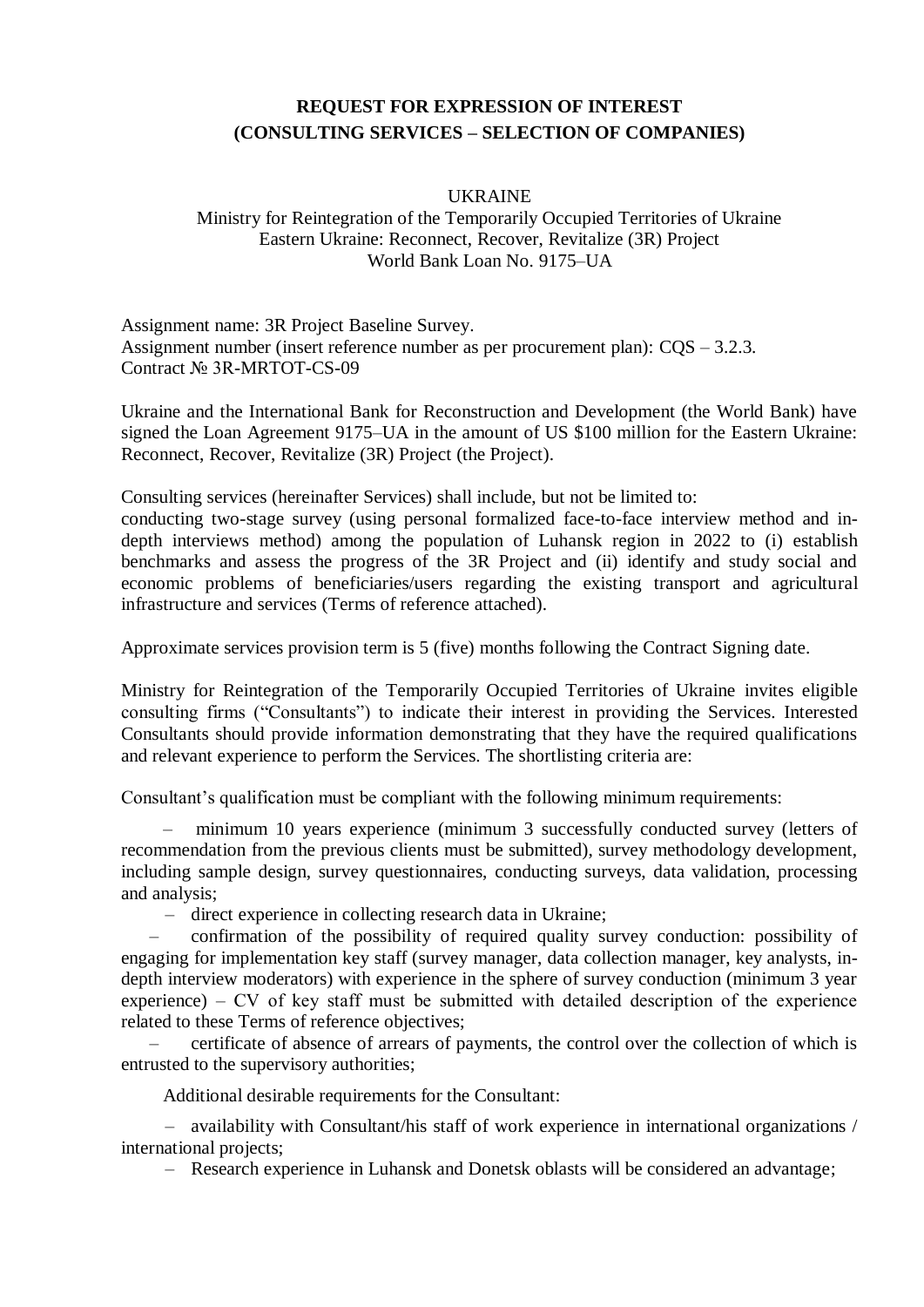## **REQUEST FOR EXPRESSION OF INTEREST (CONSULTING SERVICES – SELECTION OF COMPANIES)**

#### UKRAINE

#### Ministry for Reintegration of the Temporarily Occupied Territories of Ukraine Eastern Ukraine: Reconnect, Recover, Revitalize (3R) Project World Bank Loan No. 9175–UA

Assignment name: 3R Project Baseline Survey. Assignment number (insert reference number as per procurement plan): CQS – 3.2.3. Contract № 3R-MRTOT-CS-09

Ukraine and the International Bank for Reconstruction and Development (the World Bank) have signed the Loan Agreement 9175–UA in the amount of US \$100 million for the Eastern Ukraine: Reconnect, Recover, Revitalize (3R) Project (the Project).

Consulting services (hereinafter Services) shall include, but not be limited to:

conducting two-stage survey (using personal formalized face-to-face interview method and indepth interviews method) among the population of Luhansk region in 2022 to (i) establish benchmarks and assess the progress of the 3R Project and (ii) identify and study social and economic problems of beneficiaries/users regarding the existing transport and agricultural infrastructure and services (Terms of reference attached).

Approximate services provision term is 5 (five) months following the Contract Signing date.

Ministry for Reintegration of the Temporarily Occupied Territories of Ukraine invites eligible consulting firms ("Consultants") to indicate their interest in providing the Services. Interested Consultants should provide information demonstrating that they have the required qualifications and relevant experience to perform the Services. The shortlisting criteria are:

Consultant's qualification must be compliant with the following minimum requirements:

– minimum 10 years experience (minimum 3 successfully conducted survey (letters of recommendation from the previous clients must be submitted), survey methodology development, including sample design, survey questionnaires, conducting surveys, data validation, processing and analysis;

– direct experience in collecting research data in Ukraine;

– confirmation of the possibility of required quality survey conduction: possibility of engaging for implementation key staff (survey manager, data collection manager, key analysts, indepth interview moderators) with experience in the sphere of survey conduction (minimum 3 year experience) – СV of key staff must be submitted with detailed description of the experience related to these Terms of reference objectives;

– certificate of absence of arrears of payments, the control over the collection of which is entrusted to the supervisory authorities;

Additional desirable requirements for the Consultant:

– availability with Consultant/his staff of work experience in international organizations / international projects;

– Research experience in Luhansk and Donetsk oblasts will be considered an advantage;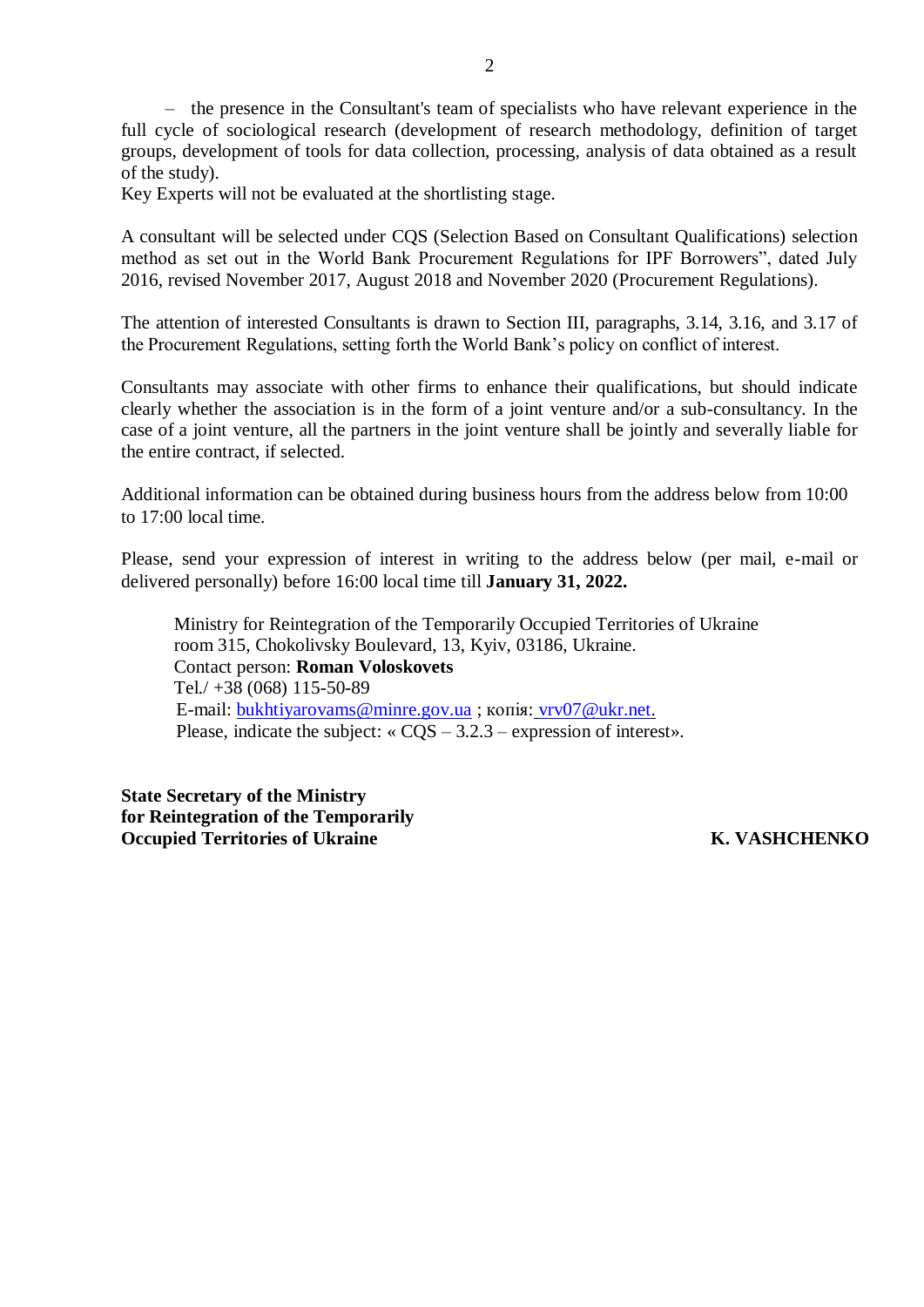– the presence in the Consultant's team of specialists who have relevant experience in the full cycle of sociological research (development of research methodology, definition of target groups, development of tools for data collection, processing, analysis of data obtained as a result of the study).

Key Experts will not be evaluated at the shortlisting stage.

A consultant will be selected under CQS (Selection Based on Consultant Qualifications) selection method as set out in the World Bank Procurement Regulations for IPF Borrowers", dated July 2016, revised November 2017, August 2018 and November 2020 (Procurement Regulations).

The attention of interested Consultants is drawn to Section III, paragraphs, 3.14, 3.16, and 3.17 of the Procurement Regulations, setting forth the World Bank's policy on conflict of interest.

Consultants may associate with other firms to enhance their qualifications, but should indicate clearly whether the association is in the form of a joint venture and/or a sub-consultancy. In the case of a joint venture, all the partners in the joint venture shall be jointly and severally liable for the entire contract, if selected.

Additional information can be obtained during business hours from the address below from 10:00 to 17:00 local time.

Please, send your expression of interest in writing to the address below (per mail, e-mail or delivered personally) before 16:00 local time till **January 31, 2022.**

Ministry for Reintegration of the Temporarily Occupied Territories of Ukraine room 315, Chokolivsky Boulevard, 13, Kyiv, 03186, Ukraine. Contact person: **Roman Voloskovets** Tel./ +38 (068) 115-50-89 E-mail: [bukhtiyarovams@minre.gov.ua](mailto:bukhtiyarovams@minre.gov.ua) ; копія: [vrv07@ukr.net.](mailto:vrv07@ukr.net) Please, indicate the subject: « CQS – 3.2.3 – expression of interest».

**State Secretary of the Ministry for Reintegration of the Temporarily Occupied Territories of Ukraine K. VASHCHENKO**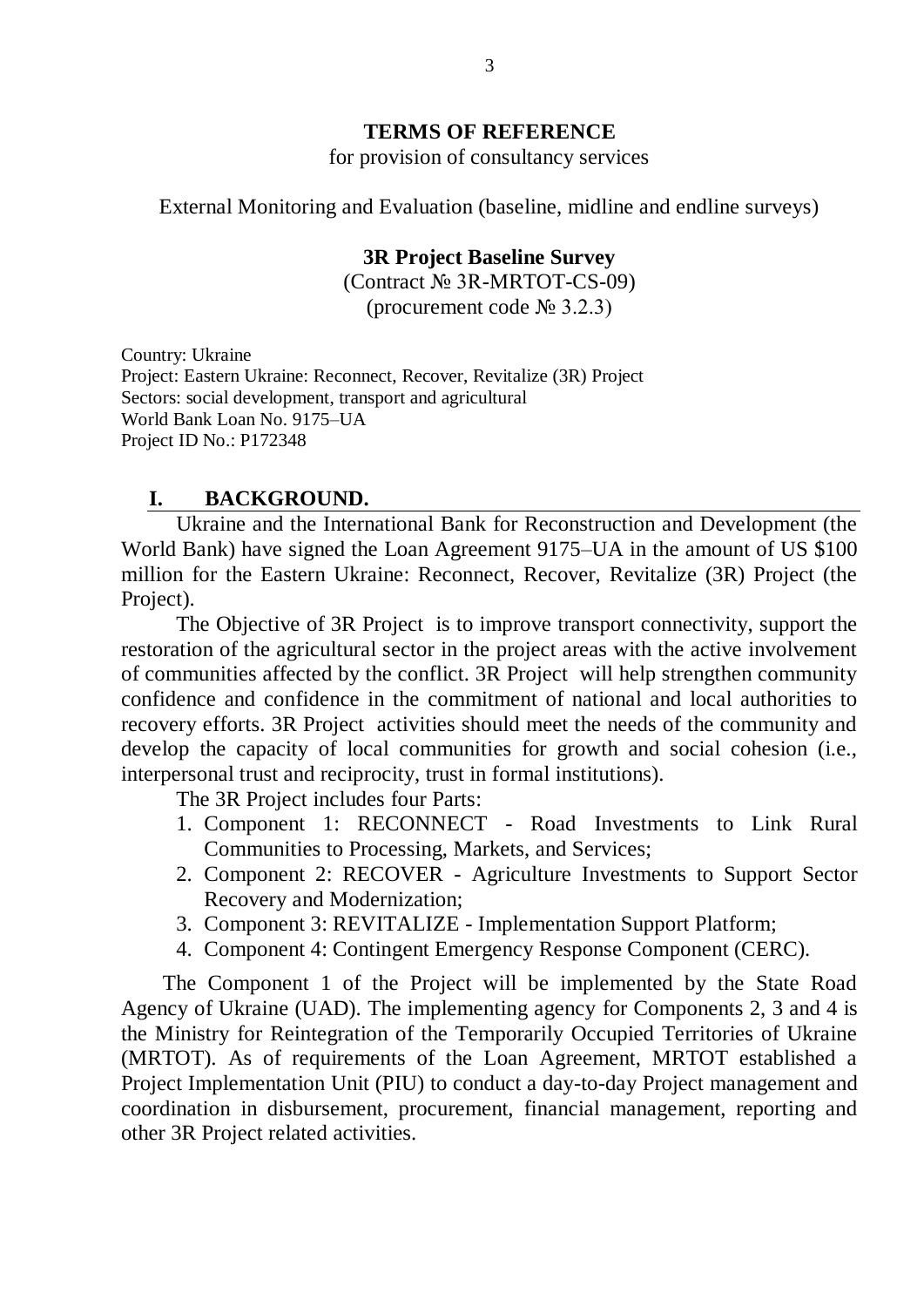# **TERMS OF REFERENCE**

for provision of consultancy services

External Monitoring and Evaluation (baseline, midline and endline surveys)

#### **3R Project Baseline Survey**

(Contract № 3R-MRTOT-CS-09) (procurement code  $\mathcal{N}_2$  3.2.3)

Country: Ukraine Project: Eastern Ukraine: Reconnect, Recover, Revitalize (3R) Project Sectors: social development, transport and agricultural World Bank Loan No. 9175–UA Project ID No.: P172348

#### **I. BACKGROUND.**

Ukraine and the International Bank for Reconstruction and Development (the World Bank) have signed the Loan Agreement 9175–UA in the amount of US \$100 million for the Eastern Ukraine: Reconnect, Recover, Revitalize (3R) Project (the Project).

The Objective of 3R Project is to improve transport connectivity, support the restoration of the agricultural sector in the project areas with the active involvement of communities affected by the conflict. 3R Project will help strengthen community confidence and confidence in the commitment of national and local authorities to recovery efforts. 3R Project activities should meet the needs of the community and develop the capacity of local communities for growth and social cohesion (i.e., interpersonal trust and reciprocity, trust in formal institutions).

The 3R Project includes four Parts:

- 1. Component 1: RECONNECT Road Investments to Link Rural Communities to Processing, Markets, and Services;
- 2. Component 2: RECOVER Agriculture Investments to Support Sector Recovery and Modernization;
- 3. Component 3: REVITALIZE Implementation Support Platform;
- 4. Component 4: Contingent Emergency Response Component (CERC).

The Component 1 of the Project will be implemented by the State Road Agency of Ukraine (UAD). The implementing agency for Components 2, 3 and 4 is the Ministry for Reintegration of the Temporarily Occupied Territories of Ukraine (MRTOT). As of requirements of the Loan Agreement, MRTOT established a Project Implementation Unit (PIU) to conduct a day-to-day Project management and coordination in disbursement, procurement, financial management, reporting and other 3R Project related activities.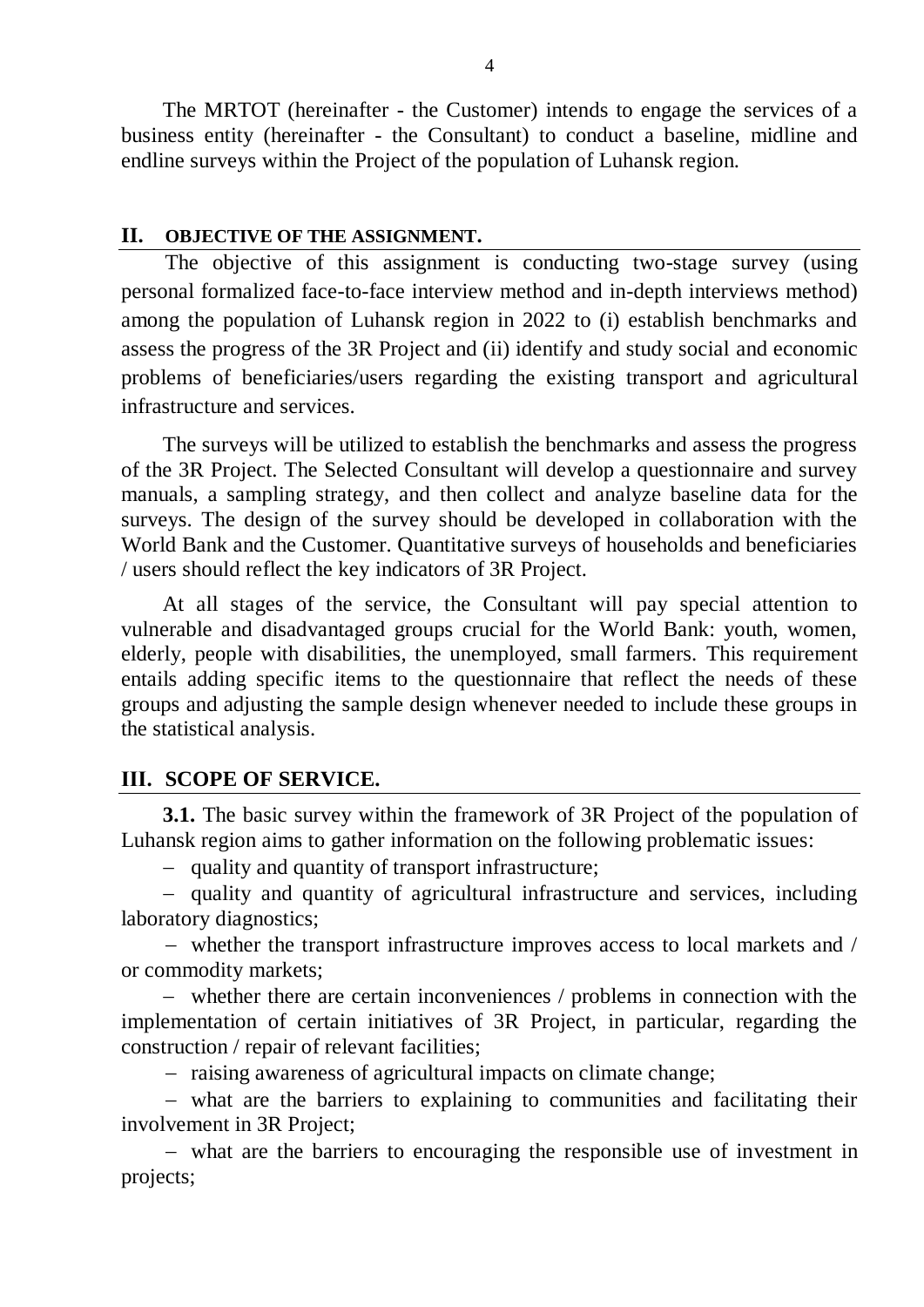The MRTOT (hereinafter - the Customer) intends to engage the services of a business entity (hereinafter - the Consultant) to conduct a baseline, midline and endline surveys within the Project of the population of Luhansk region.

#### **II. OBJECTIVE OF THE ASSIGNMENT.**

The objective of this assignment is conducting two-stage survey (using personal formalized face-to-face interview method and in-depth interviews method) among the population of Luhansk region in 2022 to (i) establish benchmarks and assess the progress of the 3R Project and (ii) identify and study social and economic problems of beneficiaries/users regarding the existing transport and agricultural infrastructure and services.

The surveys will be utilized to establish the benchmarks and assess the progress of the 3R Project. The Selected Consultant will develop a questionnaire and survey manuals, a sampling strategy, and then collect and analyze baseline data for the surveys. The design of the survey should be developed in collaboration with the World Bank and the Customer. Quantitative surveys of households and beneficiaries / users should reflect the key indicators of 3R Project.

At all stages of the service, the Consultant will pay special attention to vulnerable and disadvantaged groups crucial for the World Bank: youth, women, elderly, people with disabilities, the unemployed, small farmers. This requirement entails adding specific items to the questionnaire that reflect the needs of these groups and adjusting the sample design whenever needed to include these groups in the statistical analysis.

## **ІІІ. SCOPE OF SERVICE.**

**3.1.** The basic survey within the framework of 3R Project of the population of Luhansk region aims to gather information on the following problematic issues:

- quality and quantity of transport infrastructure;

- quality and quantity of agricultural infrastructure and services, including laboratory diagnostics;

 whether the transport infrastructure improves access to local markets and / or commodity markets;

 whether there are certain inconveniences / problems in connection with the implementation of certain initiatives of 3R Project, in particular, regarding the construction / repair of relevant facilities;

- raising awareness of agricultural impacts on climate change;

 what are the barriers to explaining to communities and facilitating their involvement in 3R Project;

 what are the barriers to encouraging the responsible use of investment in projects;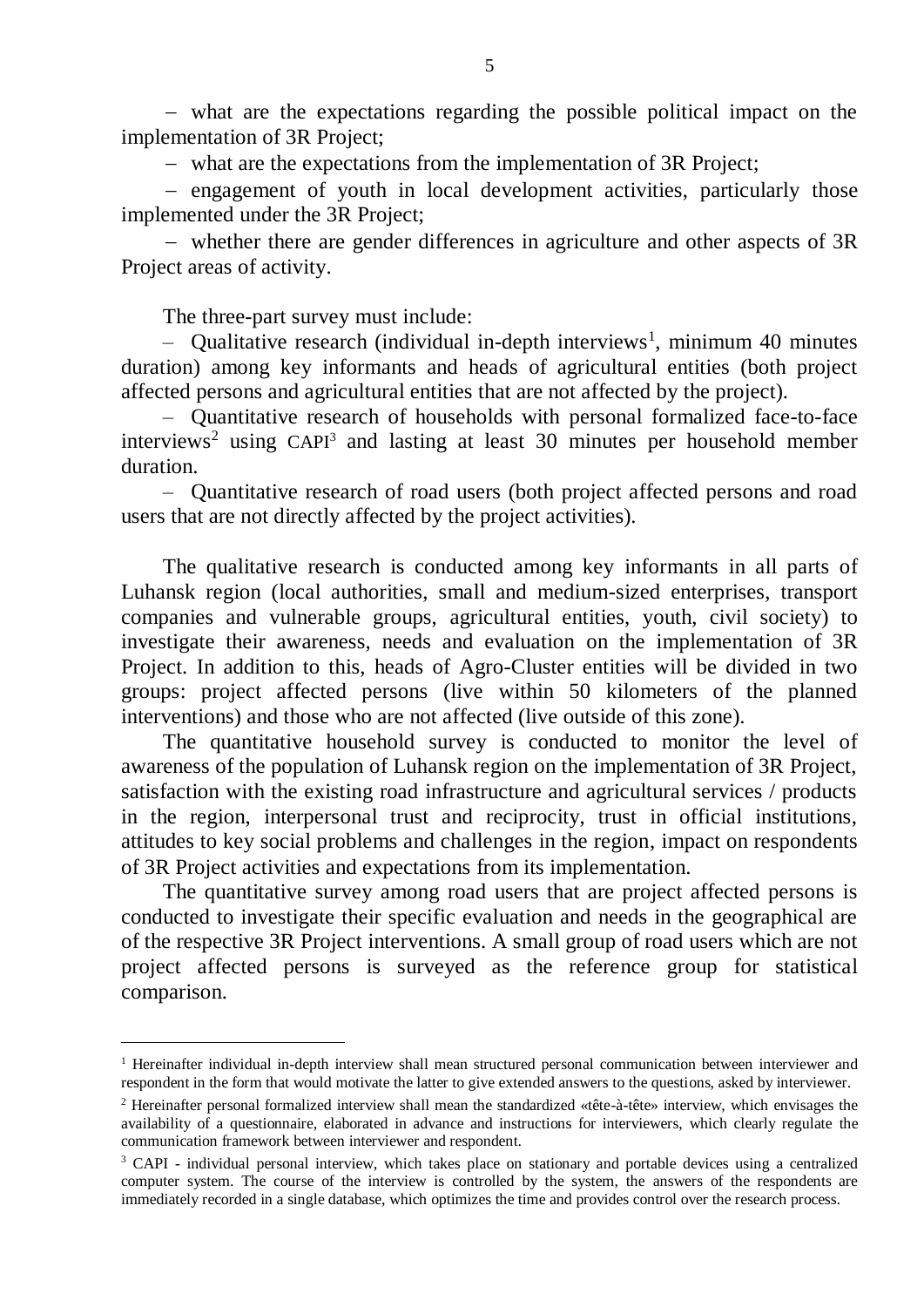what are the expectations regarding the possible political impact on the implementation of 3R Project;

what are the expectations from the implementation of 3R Project;

- engagement of youth in local development activities, particularly those implemented under the 3R Project;

 whether there are gender differences in agriculture and other aspects of 3R Project areas of activity.

The three-part survey must include:

<u>.</u>

 $-$  Qualitative research (individual in-depth interviews<sup>1</sup>, minimum 40 minutes duration) among key informants and heads of agricultural entities (both project affected persons and agricultural entities that are not affected by the project).

– Quantitative research of households with personal formalized face-to-face  $interviews<sup>2</sup>$  using CAPI<sup>3</sup> and lasting at least 30 minutes per household member duration.

– Quantitative research of road users (both project affected persons and road users that are not directly affected by the project activities).

The qualitative research is conducted among key informants in all parts of Luhansk region (local authorities, small and medium-sized enterprises, transport companies and vulnerable groups, agricultural entities, youth, civil society) to investigate their awareness, needs and evaluation on the implementation of 3R Project. In addition to this, heads of Agro-Cluster entities will be divided in two groups: project affected persons (live within 50 kilometers of the planned interventions) and those who are not affected (live outside of this zone).

The quantitative household survey is conducted to monitor the level of awareness of the population of Luhansk region on the implementation of 3R Project, satisfaction with the existing road infrastructure and agricultural services / products in the region, interpersonal trust and reciprocity, trust in official institutions, attitudes to key social problems and challenges in the region, impact on respondents of 3R Project activities and expectations from its implementation.

The quantitative survey among road users that are project affected persons is conducted to investigate their specific evaluation and needs in the geographical are of the respective 3R Project interventions. A small group of road users which are not project affected persons is surveyed as the reference group for statistical comparison.

<sup>&</sup>lt;sup>1</sup> Hereinafter individual in-depth interview shall mean structured personal communication between interviewer and respondent in the form that would motivate the latter to give extended answers to the questions, asked by interviewer.

<sup>2</sup> Hereinafter personal formalized interview shall mean the standardized «tête-à-tête» interview, which envisages the availability of a questionnaire, elaborated in advance and instructions for interviewers, which clearly regulate the communication framework between interviewer and respondent.

<sup>&</sup>lt;sup>3</sup> CAPI - individual personal interview, which takes place on stationary and portable devices using a centralized computer system. The course of the interview is controlled by the system, the answers of the respondents are immediately recorded in a single database, which optimizes the time and provides control over the research process.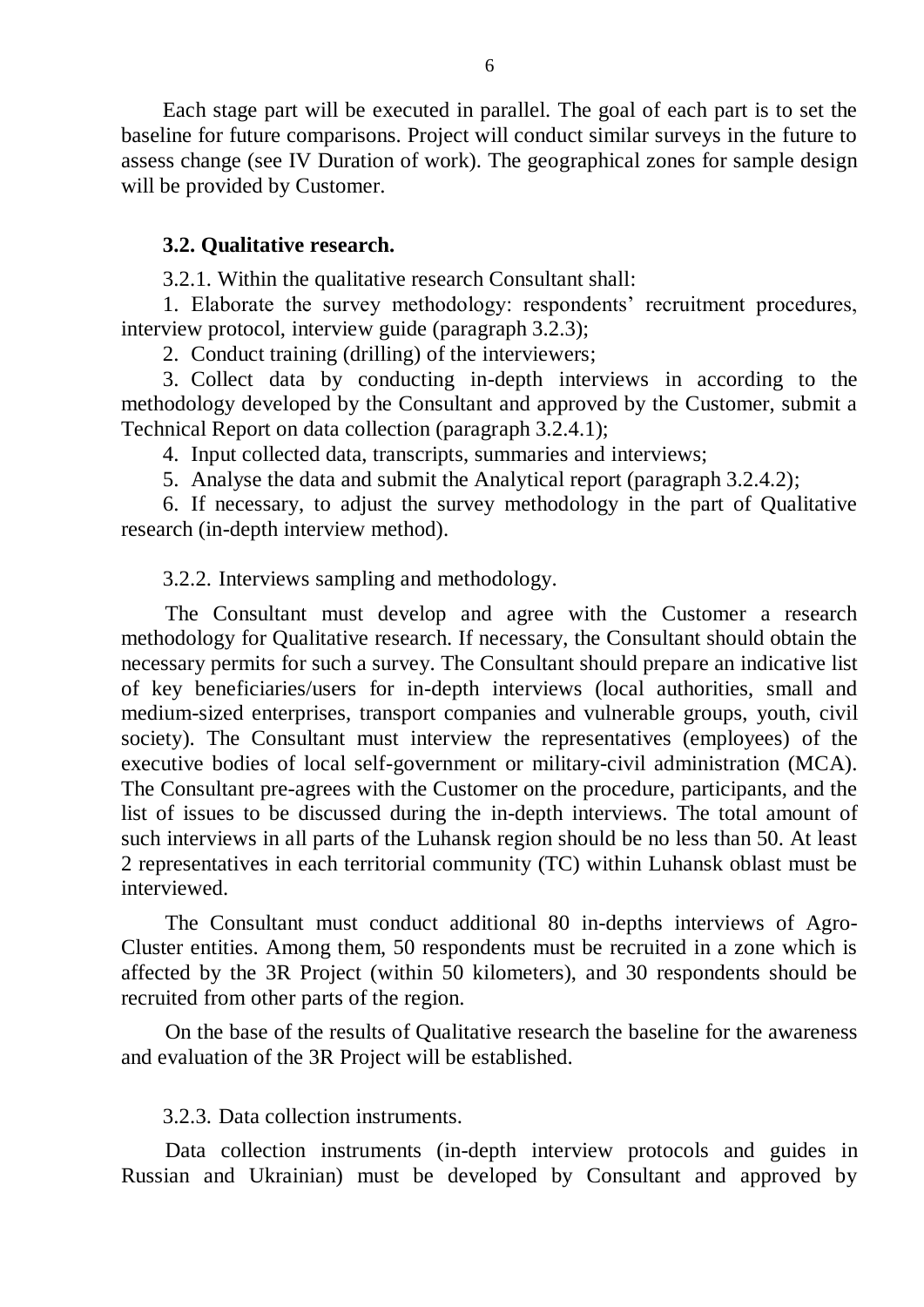Each stage part will be executed in parallel. The goal of each part is to set the baseline for future comparisons. Project will conduct similar surveys in the future to assess change (see IV Duration of work). The geographical zones for sample design will be provided by Customer.

#### **3.2. Qualitative research.**

3.2.1. Within the qualitative research Consultant shall:

1. Elaborate the survey methodology: respondents' recruitment procedures, interview protocol, interview guide (paragraph 3.2.3);

2. Conduct training (drilling) of the interviewers;

3. Collect data by conducting in-depth interviews in according to the methodology developed by the Consultant and approved by the Customer, submit a Technical Report on data collection (paragraph 3.2.4.1);

4. Input collected data, transcripts, summaries and interviews;

5. Analyse the data and submit the Analytical report (paragraph 3.2.4.2);

6. If necessary, to adjust the survey methodology in the part of Qualitative research (in-depth interview method).

3.2.2. Interviews sampling and methodology.

The Consultant must develop and agree with the Customer a research methodology for Qualitative research. If necessary, the Consultant should obtain the necessary permits for such a survey. The Consultant should prepare an indicative list of key beneficiaries/users for in-depth interviews (local authorities, small and medium-sized enterprises, transport companies and vulnerable groups, youth, civil society). The Consultant must interview the representatives (employees) of the executive bodies of local self-government or military-civil administration (MCA). The Consultant pre-agrees with the Customer on the procedure, participants, and the list of issues to be discussed during the in-depth interviews. The total amount of such interviews in all parts of the Luhansk region should be no less than 50. At least 2 representatives in each territorial community (TC) within Luhansk oblast must be interviewed.

The Consultant must conduct additional 80 in-depths interviews of Agro-Cluster entities. Among them, 50 respondents must be recruited in a zone which is affected by the 3R Project (within 50 kilometers), and 30 respondents should be recruited from other parts of the region.

On the base of the results of Qualitative research the baseline for the awareness and evaluation of the 3R Project will be established.

#### 3.2.3. Data collection instruments.

Data collection instruments (in-depth interview protocols and guides in Russian and Ukrainian) must be developed by Consultant and approved by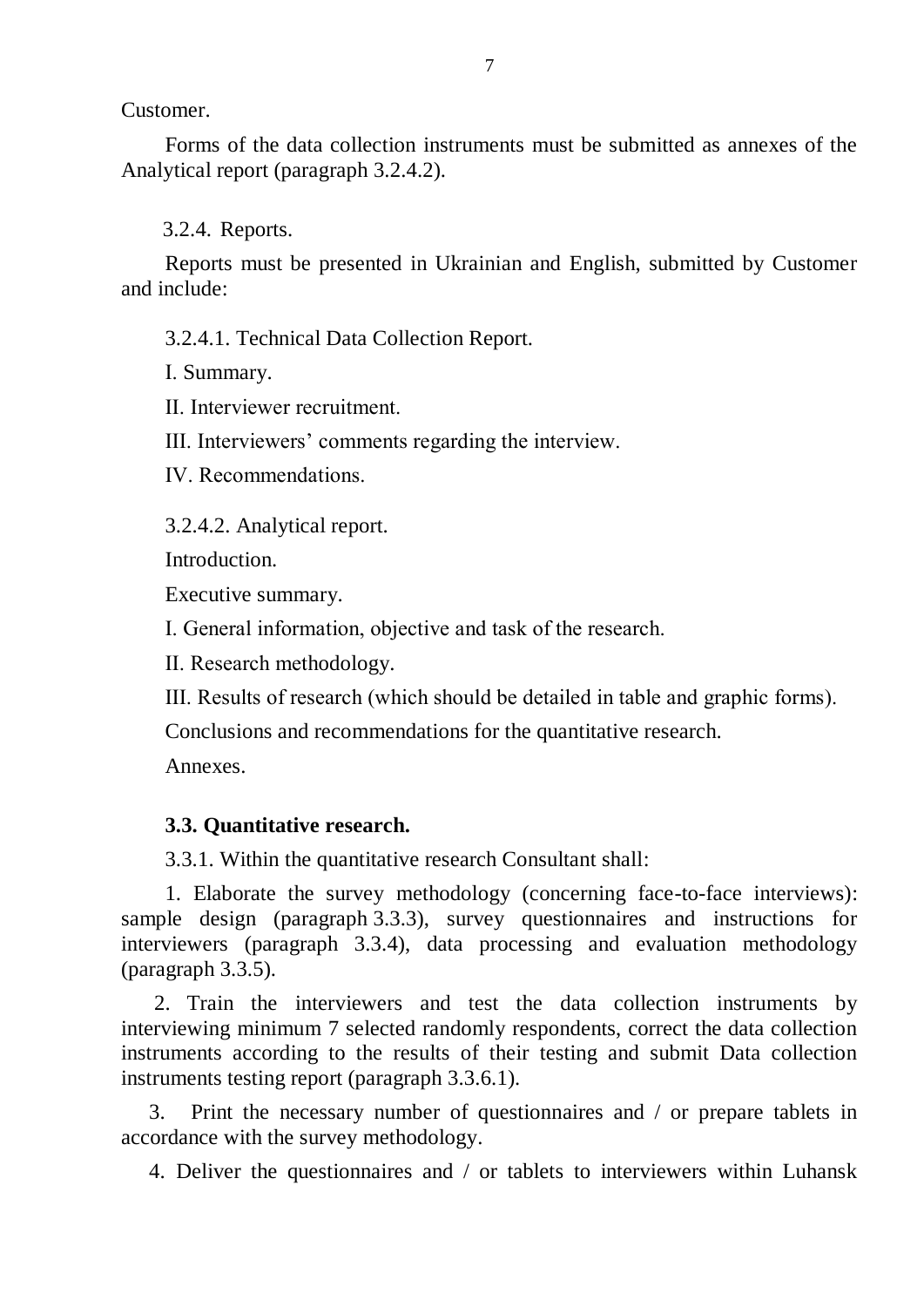Customer.

Forms of the data collection instruments must be submitted as annexes of the Analytical report (paragraph 3.2.4.2).

3.2.4. Reports.

Reports must be presented in Ukrainian and English, submitted by Customer and include:

3.2.4.1. Technical Data Collection Report.

І. Summary.

ІІ. Interviewer recruitment.

ІІІ. Interviewers' comments regarding the interview.

ІV. Recommendations.

3.2.4.2. Analytical report.

Introduction.

Executive summary.

І. General information, objective and task of the research.

ІІ. Research methodology.

ІІІ. Results of research (which should be detailed in table and graphic forms).

Conclusions and recommendations for the quantitative research.

Annexes.

# **3.3. Quantitative research.**

3.3.1. Within the quantitative research Consultant shall:

1. Elaborate the survey methodology (concerning face-to-face interviews): sample design (paragraph 3.3.3), survey questionnaires and instructions for interviewers (paragraph 3.3.4), data processing and evaluation methodology (paragraph 3.3.5).

2. Train the interviewers and test the data collection instruments by interviewing minimum 7 selected randomly respondents, correct the data collection instruments according to the results of their testing and submit Data collection instruments testing report (paragraph 3.3.6.1).

3. Print the necessary number of questionnaires and / or prepare tablets in accordance with the survey methodology.

4. Deliver the questionnaires and / or tablets to interviewers within Luhansk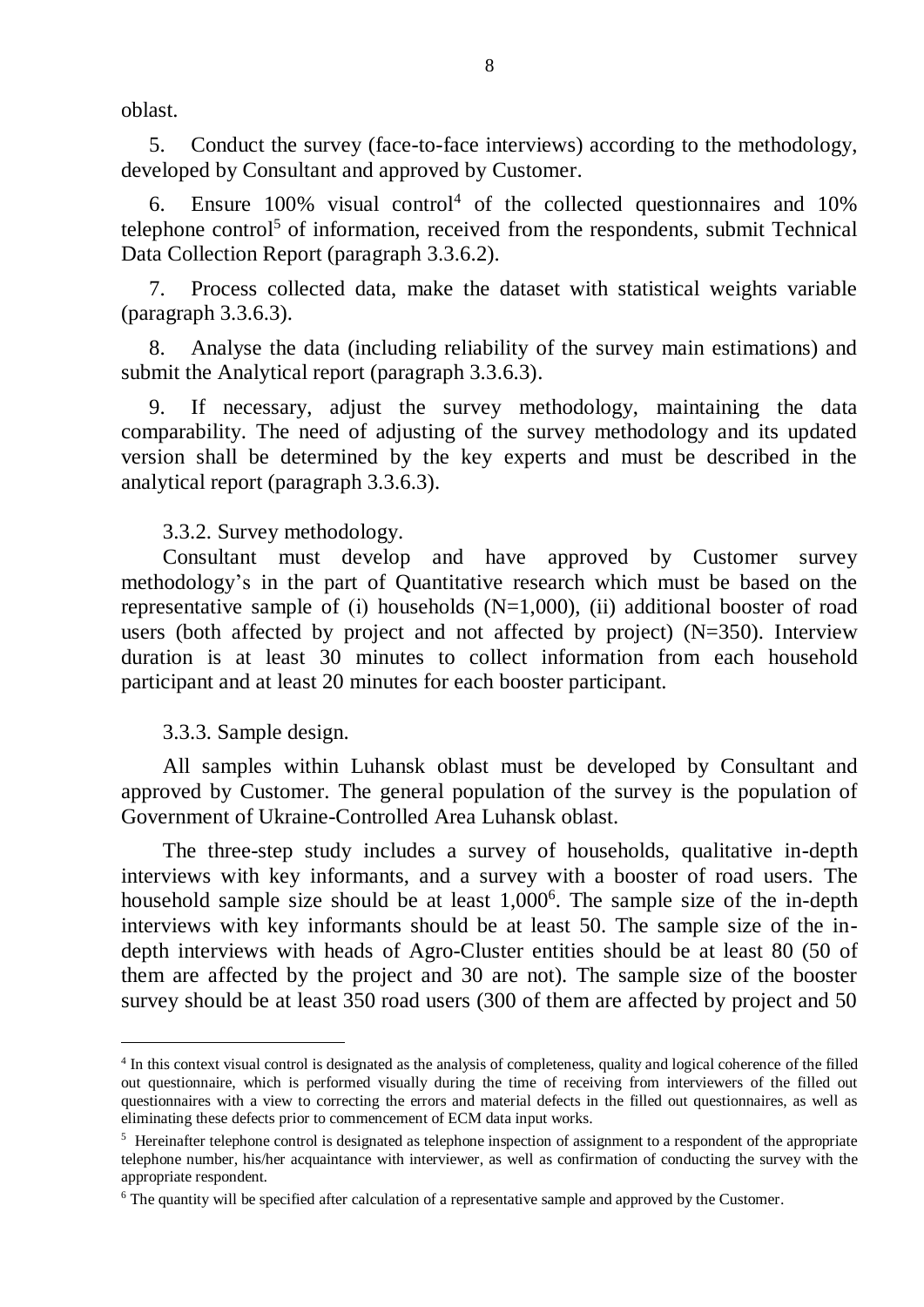oblast.

5. Conduct the survey (face-to-face interviews) according to the methodology, developed by Consultant and approved by Customer.

Ensure  $100\%$  visual control<sup>4</sup> of the collected questionnaires and  $10\%$ telephone control<sup>5</sup> of information, received from the respondents, submit Technical Data Collection Report (paragraph 3.3.6.2).

7. Process collected data, make the dataset with statistical weights variable (paragraph 3.3.6.3).

8. Analyse the data (including reliability of the survey main estimations) and submit the Analytical report (paragraph 3.3.6.3).

9. If necessary, adjust the survey methodology, maintaining the data comparability. The need of adjusting of the survey methodology and its updated version shall be determined by the key experts and must be described in the analytical report (paragraph 3.3.6.3).

3.3.2. Survey methodology.

Consultant must develop and have approved by Customer survey methodology's in the part of Quantitative research which must be based on the representative sample of (i) households  $(N=1,000)$ , (ii) additional booster of road users (both affected by project and not affected by project) (N=350). Interview duration is at least 30 minutes to collect information from each household participant and at least 20 minutes for each booster participant.

3.3.3. Sample design.

<u>.</u>

All samples within Luhansk oblast must be developed by Consultant and approved by Customer. The general population of the survey is the population of Government of Ukraine-Controlled Area Luhansk oblast.

The three-step study includes a survey of households, qualitative in-depth interviews with key informants, and a survey with a booster of road users. The household sample size should be at least 1,000<sup>6</sup>. The sample size of the in-depth interviews with key informants should be at least 50. The sample size of the indepth interviews with heads of Agro-Cluster entities should be at least 80 (50 of them are affected by the project and 30 are not). The sample size of the booster survey should be at least 350 road users (300 of them are affected by project and 50

<sup>&</sup>lt;sup>4</sup> In this context visual control is designated as the analysis of completeness, quality and logical coherence of the filled out questionnaire, which is performed visually during the time of receiving from interviewers of the filled out questionnaires with a view to correcting the errors and material defects in the filled out questionnaires, as well as eliminating these defects prior to commencement of ECM data input works.

<sup>&</sup>lt;sup>5</sup> Hereinafter telephone control is designated as telephone inspection of assignment to a respondent of the appropriate telephone number, his/her acquaintance with interviewer, as well as confirmation of conducting the survey with the appropriate respondent.

<sup>6</sup> The quantity will be specified after calculation of a representative sample and approved by the Customer.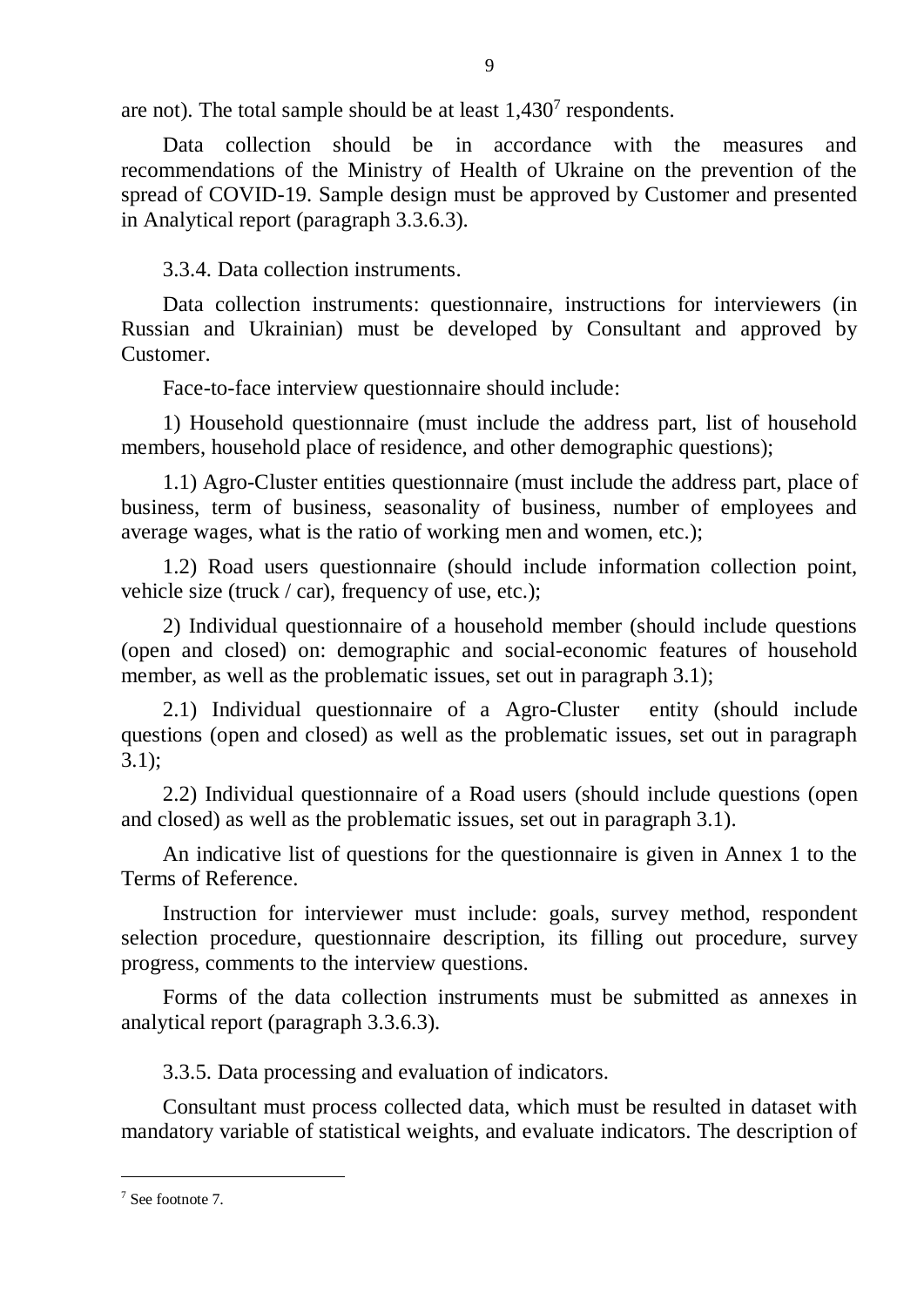are not). The total sample should be at least  $1,430^7$  respondents.

Data collection should be in accordance with the measures and recommendations of the Ministry of Health of Ukraine on the prevention of the spread of COVID-19. Sample design must be approved by Customer and presented in Analytical report (paragraph 3.3.6.3).

3.3.4. Data collection instruments.

Data collection instruments: questionnaire, instructions for interviewers (in Russian and Ukrainian) must be developed by Consultant and approved by Customer.

Face-to-face interview questionnaire should include:

1) Household questionnaire (must include the address part, list of household members, household place of residence, and other demographic questions);

1.1) Agro-Cluster entities questionnaire (must include the address part, place of business, term of business, seasonality of business, number of employees and average wages, what is the ratio of working men and women, etc.);

1.2) Road users questionnaire (should include information collection point, vehicle size (truck / car), frequency of use, etc.);

2) Individual questionnaire of a household member (should include questions (open and closed) on: demographic and social-economic features of household member, as well as the problematic issues, set out in paragraph 3.1);

2.1) Individual questionnaire of a Agro-Cluster entity (should include questions (open and closed) as well as the problematic issues, set out in paragraph 3.1);

2.2) Individual questionnaire of a Road users (should include questions (open and closed) as well as the problematic issues, set out in paragraph 3.1).

An indicative list of questions for the questionnaire is given in Annex 1 to the Terms of Reference.

Instruction for interviewer must include: goals, survey method, respondent selection procedure, questionnaire description, its filling out procedure, survey progress, comments to the interview questions.

Forms of the data collection instruments must be submitted as annexes in analytical report (paragraph 3.3.6.3).

3.3.5. Data processing and evaluation of indicators.

Consultant must process collected data, which must be resulted in dataset with mandatory variable of statistical weights, and evaluate indicators. The description of

1

<sup>7</sup> See footnote 7.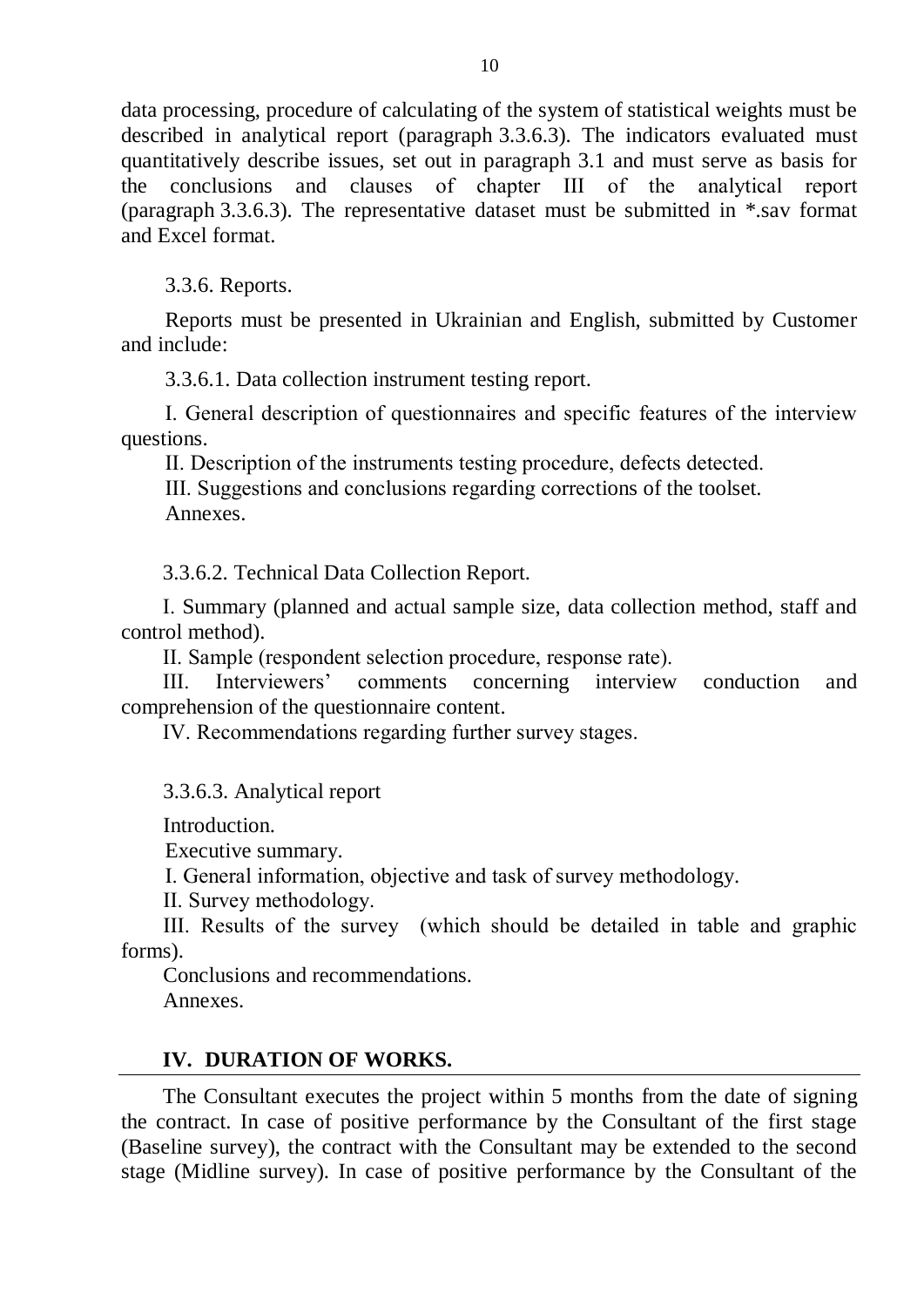data processing, procedure of calculating of the system of statistical weights must be described in analytical report (paragraph 3.3.6.3). The indicators evaluated must quantitatively describe issues, set out in paragraph 3.1 and must serve as basis for the conclusions and clauses of chapter ІІІ of the analytical report (paragraph 3.3.6.3). The representative dataset must be submitted in \*.sav format and Excel format.

3.3.6. Reports.

Reports must be presented in Ukrainian and English, submitted by Customer and include:

3.3.6.1. Data collection instrument testing report.

І. General description of questionnaires and specific features of the interview questions.

ІІ. Description of the instruments testing procedure, defects detected.

ІІІ. Suggestions and conclusions regarding corrections of the toolset. Annexes.

3.3.6.2. Technical Data Collection Report.

І. Summary (planned and actual sample size, data collection method, staff and control method).

ІІ. Sample (respondent selection procedure, response rate).

ІІІ. Interviewers' comments concerning interview conduction and comprehension of the questionnaire content.

ІV. Recommendations regarding further survey stages.

3.3.6.3. Analytical report

Introduction.

Executive summary.

І. General information, objective and task of survey methodology.

ІІ. Survey methodology.

ІІІ. Results of the survey (which should be detailed in table and graphic forms).

Conclusions and recommendations.

Annexes.

# **IV. DURATION OF WORKS.**

The Consultant executes the project within 5 months from the date of signing the contract. In case of positive performance by the Consultant of the first stage (Baseline survey), the contract with the Consultant may be extended to the second stage (Midline survey). In case of positive performance by the Consultant of the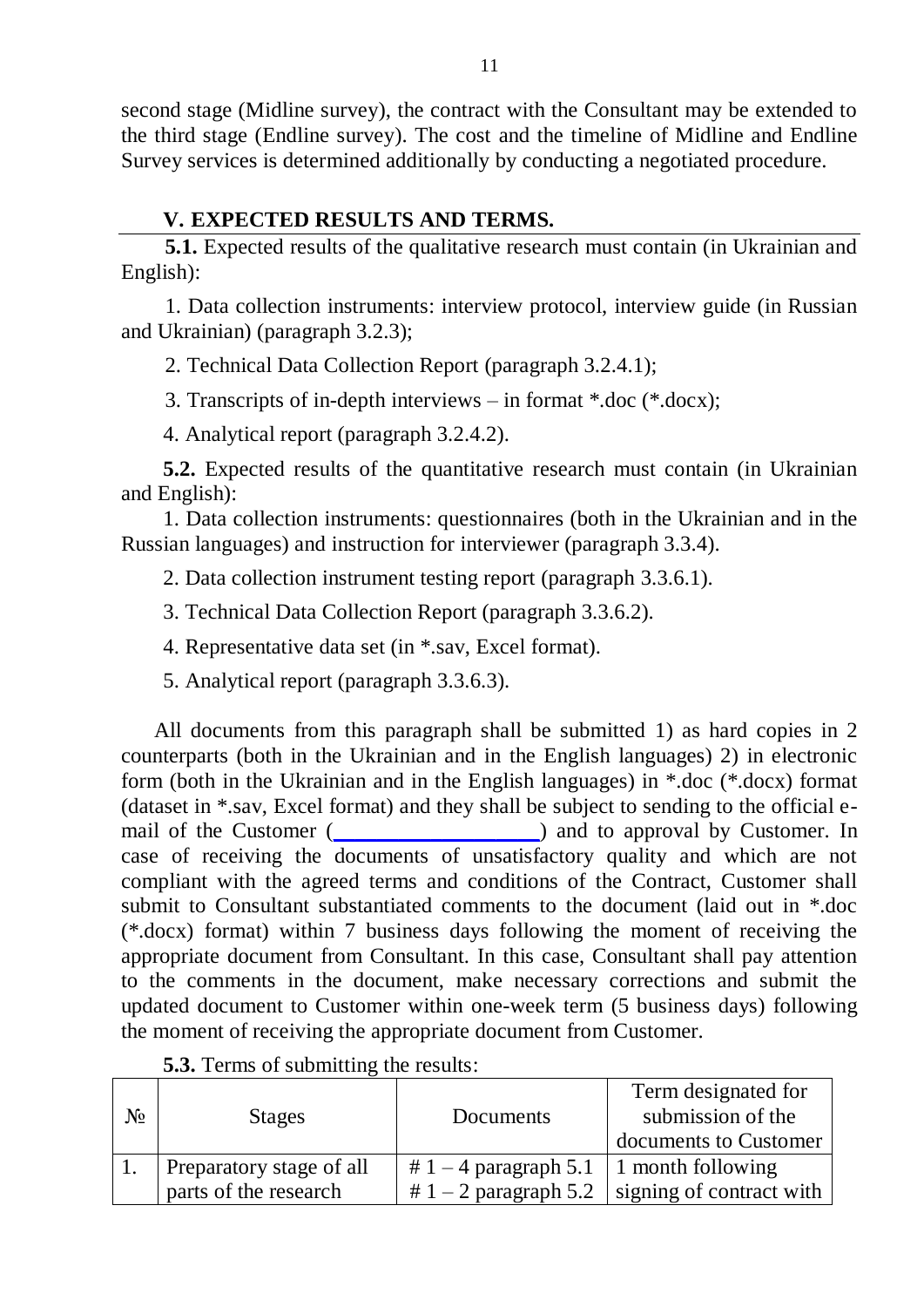second stage (Midline survey), the contract with the Consultant may be extended to the third stage (Endline survey). The cost and the timeline of Midline and Endline Survey services is determined additionally by conducting a negotiated procedure.

# **V. EXPECTED RESULTS AND TERMS.**

**5.1.** Expected results of the qualitative research must contain (in Ukrainian and English):

1. Data collection instruments: interview protocol, interview guide (in Russian and Ukrainian) (paragraph 3.2.3);

2. Technical Data Collection Report (paragraph 3.2.4.1);

3. Transcripts of in-depth interviews – in format \*.doc (\*.docx);

4. Analytical report (paragraph 3.2.4.2).

**5.2.** Expected results of the quantitative research must contain (in Ukrainian and English):

1. Data collection instruments: questionnaires (both in the Ukrainian and in the Russian languages) and instruction for interviewer (paragraph 3.3.4).

2. Data collection instrument testing report (paragraph 3.3.6.1).

3. Technical Data Collection Report (paragraph 3.3.6.2).

4. Representative data set (in \*.sav, Excel format).

5. Analytical report (paragraph 3.3.6.3).

All documents from this paragraph shall be submitted 1) as hard copies in 2 counterparts (both in the Ukrainian and in the English languages) 2) in electronic form (both in the Ukrainian and in the English languages) in \*.doc (\*.docx) format (dataset in \*.sav, Excel format) and they shall be subject to sending to the official email of the Customer (\_\_\_\_\_\_\_\_\_\_\_\_\_\_\_\_\_\_) and to approval by Customer. In case of receiving the documents of unsatisfactory quality and which are not compliant with the agreed terms and conditions of the Contract, Customer shall submit to Consultant substantiated comments to the document (laid out in \*.doc (\*.docx) format) within 7 business days following the moment of receiving the appropriate document from Consultant. In this case, Consultant shall pay attention to the comments in the document, make necessary corrections and submit the updated document to Customer within one-week term (5 business days) following the moment of receiving the appropriate document from Customer.

| No | <b>Stages</b>            | Documents               | Term designated for<br>submission of the<br>documents to Customer |
|----|--------------------------|-------------------------|-------------------------------------------------------------------|
|    | Preparatory stage of all | # $1 - 4$ paragraph 5.1 | $\vert$ 1 month following                                         |
|    | parts of the research    |                         | $\# 1 - 2$ paragraph 5.2   signing of contract with               |

**5.3.** Terms of submitting the results: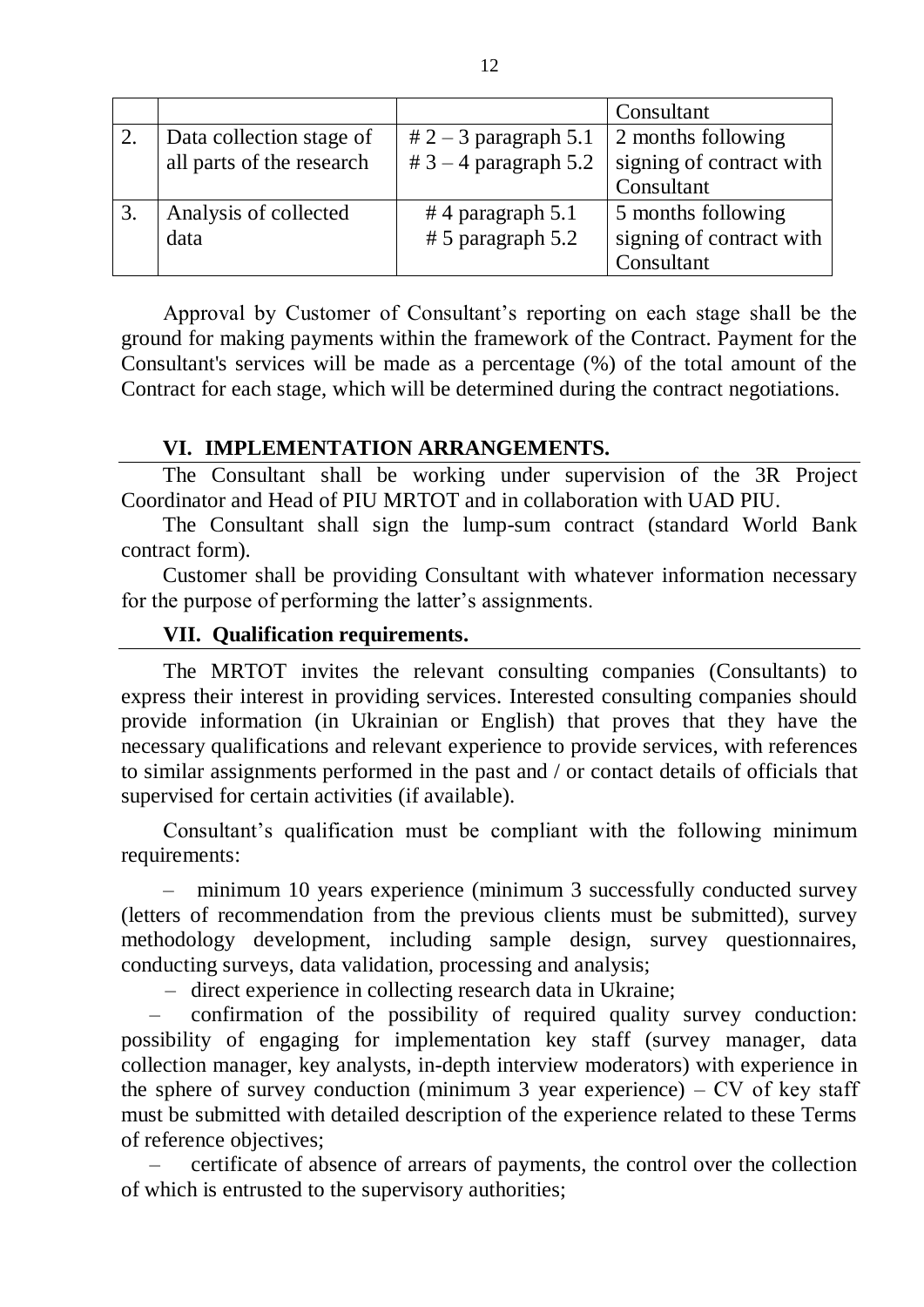|    |                           |                         | Consultant               |
|----|---------------------------|-------------------------|--------------------------|
| 2. | Data collection stage of  | $# 2 - 3$ paragraph 5.1 | 2 months following       |
|    | all parts of the research | $# 3 - 4$ paragraph 5.2 | signing of contract with |
|    |                           |                         | Consultant               |
|    | Analysis of collected     | #4 paragraph $5.1$      | 5 months following       |
|    | data                      | $# 5$ paragraph 5.2     | signing of contract with |
|    |                           |                         | Consultant               |

Approval by Customer of Consultant's reporting on each stage shall be the ground for making payments within the framework of the Contract. Payment for the Consultant's services will be made as a percentage (%) of the total amount of the Contract for each stage, which will be determined during the contract negotiations.

## **VI. IMPLEMENTATION ARRANGEMENTS.**

The Consultant shall be working under supervision of the 3R Project Coordinator and Head of PIU MRTOT and in collaboration with UAD PIU.

The Consultant shall sign the lump-sum contract (standard World Bank contract form).

Customer shall be providing Consultant with whatever information necessary for the purpose of performing the latter's assignments.

## **VII. Qualification requirements.**

The MRTOT invites the relevant consulting companies (Consultants) to express their interest in providing services. Interested consulting companies should provide information (in Ukrainian or English) that proves that they have the necessary qualifications and relevant experience to provide services, with references to similar assignments performed in the past and / or contact details of officials that supervised for certain activities (if available).

Consultant's qualification must be compliant with the following minimum requirements:

– minimum 10 years experience (minimum 3 successfully conducted survey (letters of recommendation from the previous clients must be submitted), survey methodology development, including sample design, survey questionnaires, conducting surveys, data validation, processing and analysis;

– direct experience in collecting research data in Ukraine;

– confirmation of the possibility of required quality survey conduction: possibility of engaging for implementation key staff (survey manager, data collection manager, key analysts, in-depth interview moderators) with experience in the sphere of survey conduction (minimum 3 year experience) – CV of key staff must be submitted with detailed description of the experience related to these Terms of reference objectives;

– certificate of absence of arrears of payments, the control over the collection of which is entrusted to the supervisory authorities;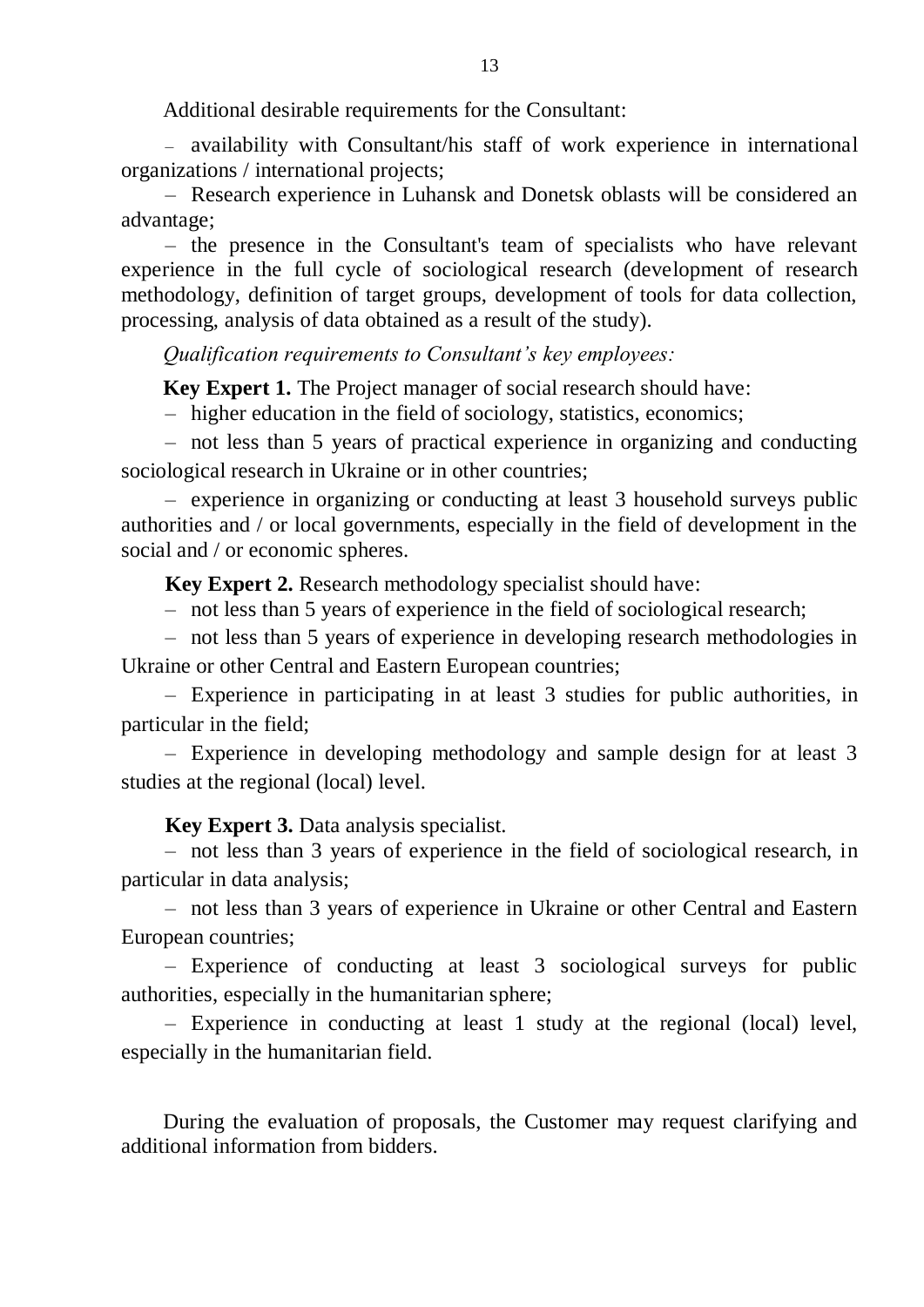Additional desirable requirements for the Consultant:

– availability with Consultant/his staff of work experience in international organizations / international projects;

– Research experience in Luhansk and Donetsk oblasts will be considered an advantage;

– the presence in the Consultant's team of specialists who have relevant experience in the full cycle of sociological research (development of research methodology, definition of target groups, development of tools for data collection, processing, analysis of data obtained as a result of the study).

*Qualification requirements to Consultant's key employees:*

**Key Expert 1.** The Project manager of social research should have:

– higher education in the field of sociology, statistics, economics;

– not less than 5 years of practical experience in organizing and conducting sociological research in Ukraine or in other countries;

– experience in organizing or conducting at least 3 household surveys public authorities and / or local governments, especially in the field of development in the social and / or economic spheres.

**Key Expert 2.** Research methodology specialist should have:

– not less than 5 years of experience in the field of sociological research;

– not less than 5 years of experience in developing research methodologies in Ukraine or other Central and Eastern European countries;

– Experience in participating in at least 3 studies for public authorities, in particular in the field;

– Experience in developing methodology and sample design for at least 3 studies at the regional (local) level.

#### **Key Expert 3.** Data analysis specialist.

– not less than 3 years of experience in the field of sociological research, in particular in data analysis;

– not less than 3 years of experience in Ukraine or other Central and Eastern European countries;

– Experience of conducting at least 3 sociological surveys for public authorities, especially in the humanitarian sphere;

– Experience in conducting at least 1 study at the regional (local) level, especially in the humanitarian field.

During the evaluation of proposals, the Customer may request clarifying and additional information from bidders.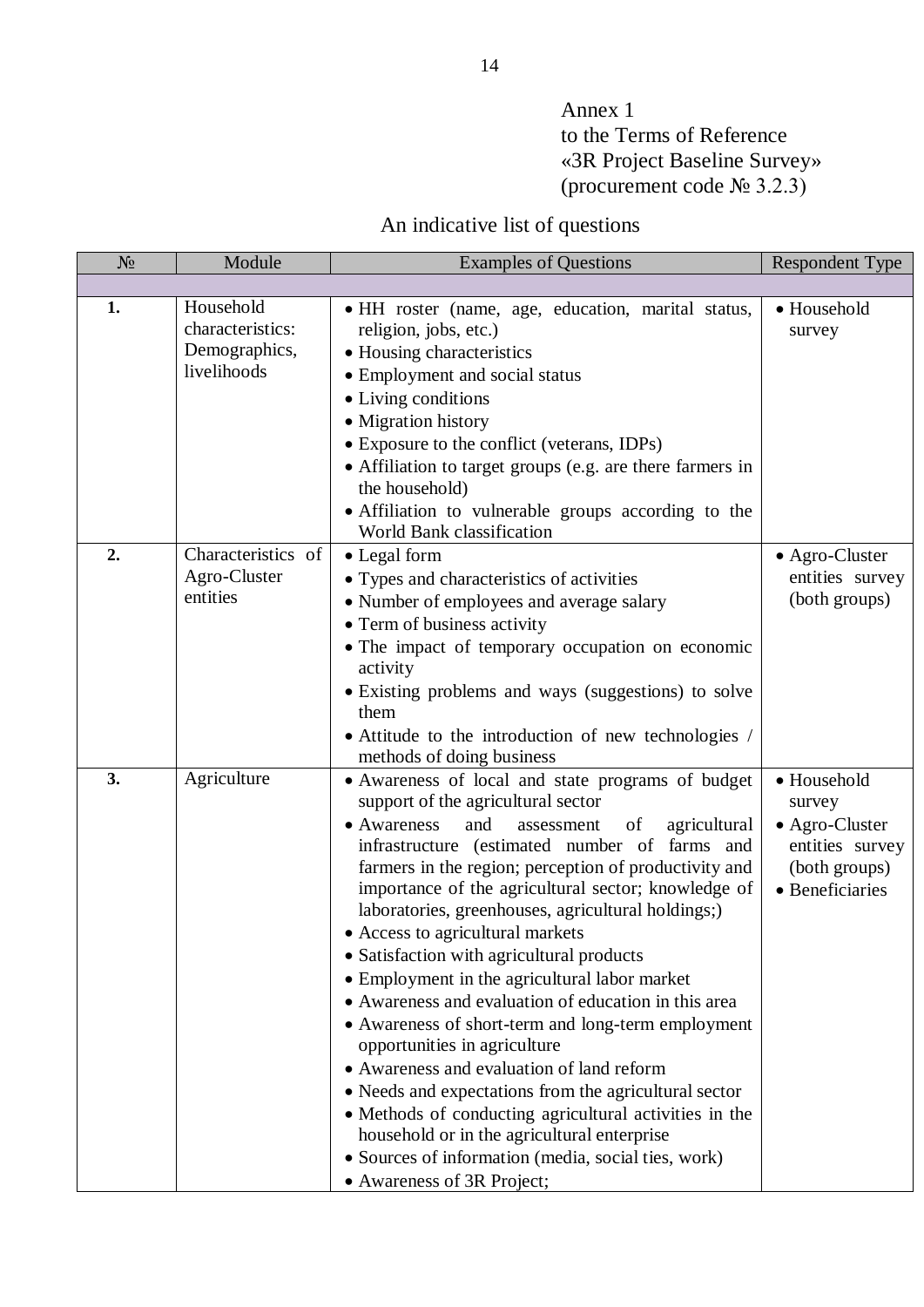# Annex 1 to the Terms of Reference «3R Project Baseline Survey» (procurement code № 3.2.3)

# An indicative list of questions

| N <sub>2</sub> | Module                                                        | <b>Examples of Questions</b>                                                                                                                                                                                                                                                                                                                                                                                                                                                                                                                                                                                                                                                                                                                                                                                                                                                                                                                                    | <b>Respondent Type</b>                                                                         |
|----------------|---------------------------------------------------------------|-----------------------------------------------------------------------------------------------------------------------------------------------------------------------------------------------------------------------------------------------------------------------------------------------------------------------------------------------------------------------------------------------------------------------------------------------------------------------------------------------------------------------------------------------------------------------------------------------------------------------------------------------------------------------------------------------------------------------------------------------------------------------------------------------------------------------------------------------------------------------------------------------------------------------------------------------------------------|------------------------------------------------------------------------------------------------|
|                |                                                               |                                                                                                                                                                                                                                                                                                                                                                                                                                                                                                                                                                                                                                                                                                                                                                                                                                                                                                                                                                 |                                                                                                |
| 1.             | Household<br>characteristics:<br>Demographics,<br>livelihoods | • HH roster (name, age, education, marital status,<br>religion, jobs, etc.)<br>• Housing characteristics<br>• Employment and social status<br>• Living conditions<br>• Migration history<br>• Exposure to the conflict (veterans, IDPs)<br>• Affiliation to target groups (e.g. are there farmers in<br>the household)<br>• Affiliation to vulnerable groups according to the<br>World Bank classification                                                                                                                                                                                                                                                                                                                                                                                                                                                                                                                                                      | · Household<br>survey                                                                          |
| 2.             | Characteristics of<br>Agro-Cluster<br>entities                | • Legal form<br>• Types and characteristics of activities<br>• Number of employees and average salary<br>• Term of business activity<br>• The impact of temporary occupation on economic<br>activity<br>• Existing problems and ways (suggestions) to solve<br>them<br>• Attitude to the introduction of new technologies /<br>methods of doing business                                                                                                                                                                                                                                                                                                                                                                                                                                                                                                                                                                                                        | • Agro-Cluster<br>entities survey<br>(both groups)                                             |
| 3.             | Agriculture                                                   | • Awareness of local and state programs of budget<br>support of the agricultural sector<br>and<br>• Awareness<br>agricultural<br>of<br>assessment<br>infrastructure (estimated number of<br>farms and<br>farmers in the region; perception of productivity and<br>importance of the agricultural sector; knowledge of<br>laboratories, greenhouses, agricultural holdings;)<br>• Access to agricultural markets<br>• Satisfaction with agricultural products<br>• Employment in the agricultural labor market<br>• Awareness and evaluation of education in this area<br>• Awareness of short-term and long-term employment<br>opportunities in agriculture<br>• Awareness and evaluation of land reform<br>• Needs and expectations from the agricultural sector<br>• Methods of conducting agricultural activities in the<br>household or in the agricultural enterprise<br>• Sources of information (media, social ties, work)<br>• Awareness of 3R Project; | • Household<br>survey<br>• Agro-Cluster<br>entities survey<br>(both groups)<br>• Beneficiaries |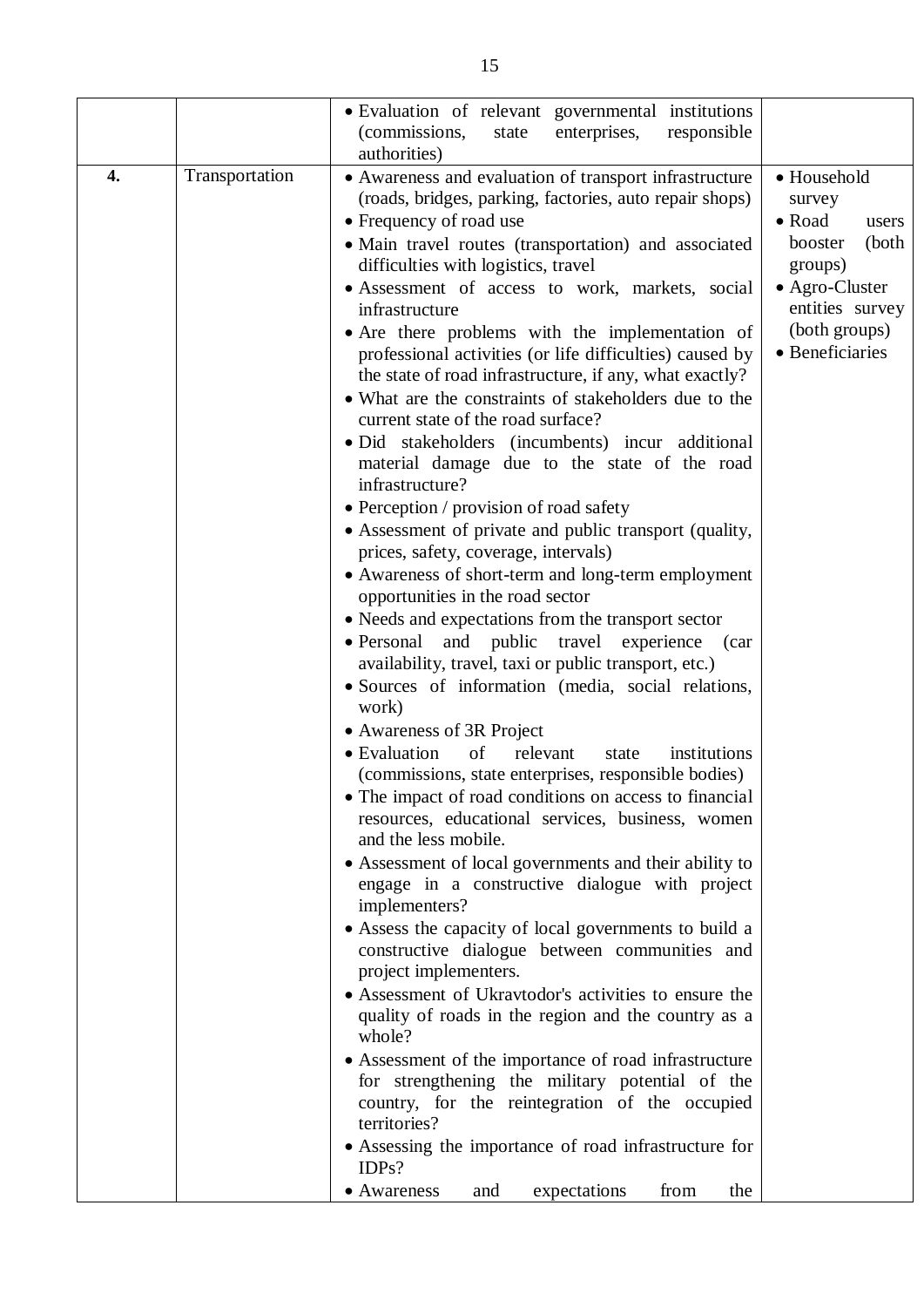|    |                | • Evaluation of relevant governmental institutions<br>enterprises,<br>(commissions,<br>responsible<br>state                                                                                                                                                                                                                                                                                                                                                                                                                                                                                                                                                                                                                                                                                                                                                                                                                                                                                                                                                                                                                                                                                                                                                                                                                                                                                                                                                                                                                                                                                                                                                                                                                                                                                                                                                                                                                                                     |                                                                                                                                                  |
|----|----------------|-----------------------------------------------------------------------------------------------------------------------------------------------------------------------------------------------------------------------------------------------------------------------------------------------------------------------------------------------------------------------------------------------------------------------------------------------------------------------------------------------------------------------------------------------------------------------------------------------------------------------------------------------------------------------------------------------------------------------------------------------------------------------------------------------------------------------------------------------------------------------------------------------------------------------------------------------------------------------------------------------------------------------------------------------------------------------------------------------------------------------------------------------------------------------------------------------------------------------------------------------------------------------------------------------------------------------------------------------------------------------------------------------------------------------------------------------------------------------------------------------------------------------------------------------------------------------------------------------------------------------------------------------------------------------------------------------------------------------------------------------------------------------------------------------------------------------------------------------------------------------------------------------------------------------------------------------------------------|--------------------------------------------------------------------------------------------------------------------------------------------------|
| 4. | Transportation | authorities)<br>• Awareness and evaluation of transport infrastructure<br>(roads, bridges, parking, factories, auto repair shops)<br>• Frequency of road use<br>· Main travel routes (transportation) and associated<br>difficulties with logistics, travel<br>• Assessment of access to work, markets, social<br>infrastructure<br>• Are there problems with the implementation of<br>professional activities (or life difficulties) caused by<br>the state of road infrastructure, if any, what exactly?<br>• What are the constraints of stakeholders due to the<br>current state of the road surface?<br>· Did stakeholders (incumbents) incur additional<br>material damage due to the state of the road<br>infrastructure?<br>• Perception / provision of road safety<br>• Assessment of private and public transport (quality,<br>prices, safety, coverage, intervals)<br>• Awareness of short-term and long-term employment<br>opportunities in the road sector<br>• Needs and expectations from the transport sector<br>$\bullet$ Personal<br>and public<br>travel<br>experience (car<br>availability, travel, taxi or public transport, etc.)<br>• Sources of information (media, social relations,<br>work)<br>• Awareness of 3R Project<br>of<br>• Evaluation<br>relevant<br>institutions<br>state<br>(commissions, state enterprises, responsible bodies)<br>• The impact of road conditions on access to financial<br>resources, educational services, business, women<br>and the less mobile.<br>• Assessment of local governments and their ability to<br>engage in a constructive dialogue with project<br>implementers?<br>• Assess the capacity of local governments to build a<br>constructive dialogue between communities and<br>project implementers.<br>• Assessment of Ukravtodor's activities to ensure the<br>quality of roads in the region and the country as a<br>whole?<br>• Assessment of the importance of road infrastructure | • Household<br>survey<br>• Road<br>users<br>booster<br>(both<br>groups)<br>• Agro-Cluster<br>entities survey<br>(both groups)<br>• Beneficiaries |
|    |                | for strengthening the military potential of the<br>country, for the reintegration of the occupied<br>territories?<br>• Assessing the importance of road infrastructure for<br>IDPs?                                                                                                                                                                                                                                                                                                                                                                                                                                                                                                                                                                                                                                                                                                                                                                                                                                                                                                                                                                                                                                                                                                                                                                                                                                                                                                                                                                                                                                                                                                                                                                                                                                                                                                                                                                             |                                                                                                                                                  |
|    |                | • Awareness<br>expectations<br>from<br>the<br>and                                                                                                                                                                                                                                                                                                                                                                                                                                                                                                                                                                                                                                                                                                                                                                                                                                                                                                                                                                                                                                                                                                                                                                                                                                                                                                                                                                                                                                                                                                                                                                                                                                                                                                                                                                                                                                                                                                               |                                                                                                                                                  |